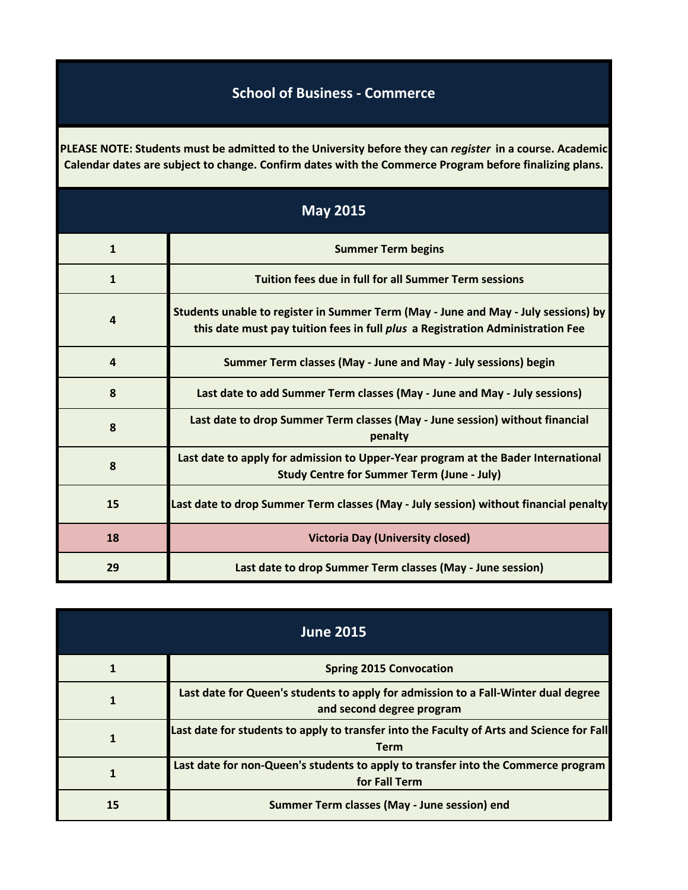## **School of Business - Commerce**

**PLEASE NOTE: Students must be admitted to the University before they can** *register* **in a course. Academic Calendar dates are subject to change. Confirm dates with the Commerce Program before finalizing plans.**

| <b>May 2015</b> |                                                                                                                                                                      |
|-----------------|----------------------------------------------------------------------------------------------------------------------------------------------------------------------|
| $\mathbf{1}$    | <b>Summer Term begins</b>                                                                                                                                            |
| 1               | Tuition fees due in full for all Summer Term sessions                                                                                                                |
| 4               | Students unable to register in Summer Term (May - June and May - July sessions) by<br>this date must pay tuition fees in full plus a Registration Administration Fee |
| 4               | Summer Term classes (May - June and May - July sessions) begin                                                                                                       |
| 8               | Last date to add Summer Term classes (May - June and May - July sessions)                                                                                            |
| 8               | Last date to drop Summer Term classes (May - June session) without financial<br>penalty                                                                              |
| 8               | Last date to apply for admission to Upper-Year program at the Bader International<br><b>Study Centre for Summer Term (June - July)</b>                               |
| 15              | Last date to drop Summer Term classes (May - July session) without financial penalty                                                                                 |
| 18              | <b>Victoria Day (University closed)</b>                                                                                                                              |
| 29              | Last date to drop Summer Term classes (May - June session)                                                                                                           |

| <b>June 2015</b> |                                                                                                                 |
|------------------|-----------------------------------------------------------------------------------------------------------------|
|                  | <b>Spring 2015 Convocation</b>                                                                                  |
|                  | Last date for Queen's students to apply for admission to a Fall-Winter dual degree<br>and second degree program |
|                  | Last date for students to apply to transfer into the Faculty of Arts and Science for Fall<br><b>Term</b>        |
|                  | Last date for non-Queen's students to apply to transfer into the Commerce program<br>for Fall Term              |
| 15               | Summer Term classes (May - June session) end                                                                    |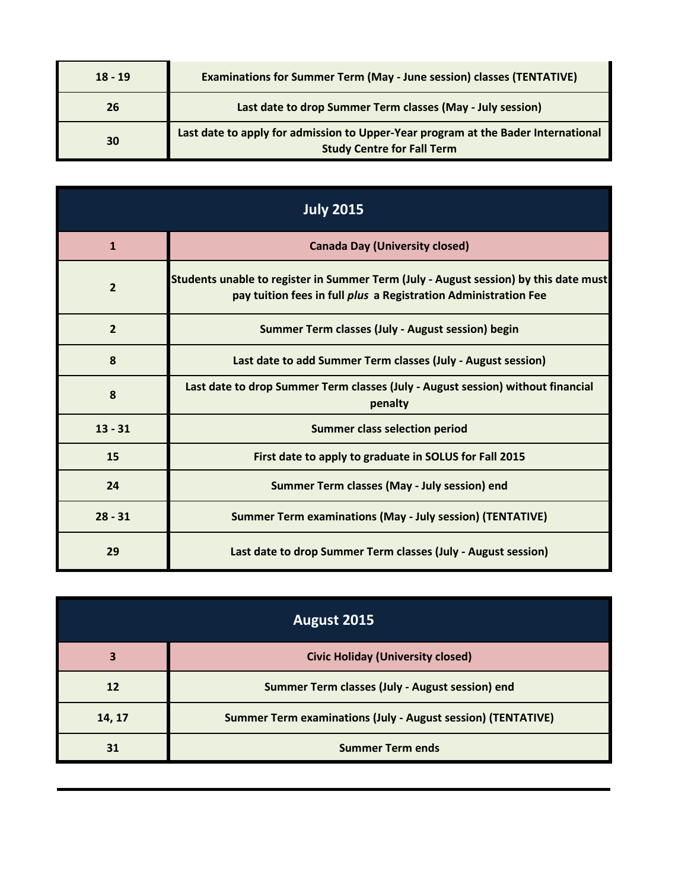| $18 - 19$ | <b>Examinations for Summer Term (May - June session) classes (TENTATIVE)</b>                                           |
|-----------|------------------------------------------------------------------------------------------------------------------------|
| 26        | Last date to drop Summer Term classes (May - July session)                                                             |
| 30        | Last date to apply for admission to Upper-Year program at the Bader International<br><b>Study Centre for Fall Term</b> |

| <b>July 2015</b> |                                                                                                                                                         |
|------------------|---------------------------------------------------------------------------------------------------------------------------------------------------------|
| 1                | <b>Canada Day (University closed)</b>                                                                                                                   |
| $\overline{2}$   | Students unable to register in Summer Term (July - August session) by this date must<br>pay tuition fees in full plus a Registration Administration Fee |
| $\overline{2}$   | Summer Term classes (July - August session) begin                                                                                                       |
| 8                | Last date to add Summer Term classes (July - August session)                                                                                            |
| 8                | Last date to drop Summer Term classes (July - August session) without financial<br>penalty                                                              |
| $13 - 31$        | <b>Summer class selection period</b>                                                                                                                    |
| 15               | First date to apply to graduate in SOLUS for Fall 2015                                                                                                  |
| 24               | Summer Term classes (May - July session) end                                                                                                            |
| $28 - 31$        | <b>Summer Term examinations (May - July session) (TENTATIVE)</b>                                                                                        |
| 29               | Last date to drop Summer Term classes (July - August session)                                                                                           |

| August 2015 |                                                                     |
|-------------|---------------------------------------------------------------------|
| 3           | <b>Civic Holiday (University closed)</b>                            |
| 12          | Summer Term classes (July - August session) end                     |
| 14, 17      | <b>Summer Term examinations (July - August session) (TENTATIVE)</b> |
| 31          | <b>Summer Term ends</b>                                             |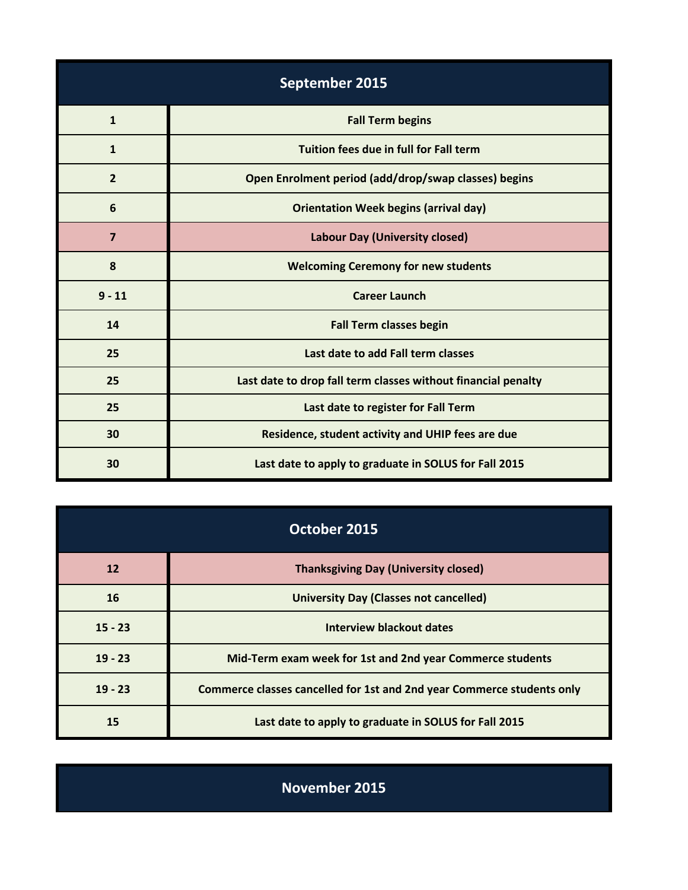| September 2015 |                                                               |
|----------------|---------------------------------------------------------------|
| $\mathbf{1}$   | <b>Fall Term begins</b>                                       |
| $\mathbf{1}$   | Tuition fees due in full for Fall term                        |
| $\overline{2}$ | Open Enrolment period (add/drop/swap classes) begins          |
| 6              | <b>Orientation Week begins (arrival day)</b>                  |
| $\overline{7}$ | <b>Labour Day (University closed)</b>                         |
| 8              | <b>Welcoming Ceremony for new students</b>                    |
| $9 - 11$       | <b>Career Launch</b>                                          |
| 14             | <b>Fall Term classes begin</b>                                |
| 25             | Last date to add Fall term classes                            |
| 25             | Last date to drop fall term classes without financial penalty |
| 25             | Last date to register for Fall Term                           |
| 30             | Residence, student activity and UHIP fees are due             |
| 30             | Last date to apply to graduate in SOLUS for Fall 2015         |

| October 2015 |                                                                        |
|--------------|------------------------------------------------------------------------|
| <b>12</b>    | <b>Thanksgiving Day (University closed)</b>                            |
| 16           | <b>University Day (Classes not cancelled)</b>                          |
| $15 - 23$    | <b>Interview blackout dates</b>                                        |
| $19 - 23$    | Mid-Term exam week for 1st and 2nd year Commerce students              |
| $19 - 23$    | Commerce classes cancelled for 1st and 2nd year Commerce students only |
| 15           | Last date to apply to graduate in SOLUS for Fall 2015                  |

**November 2015**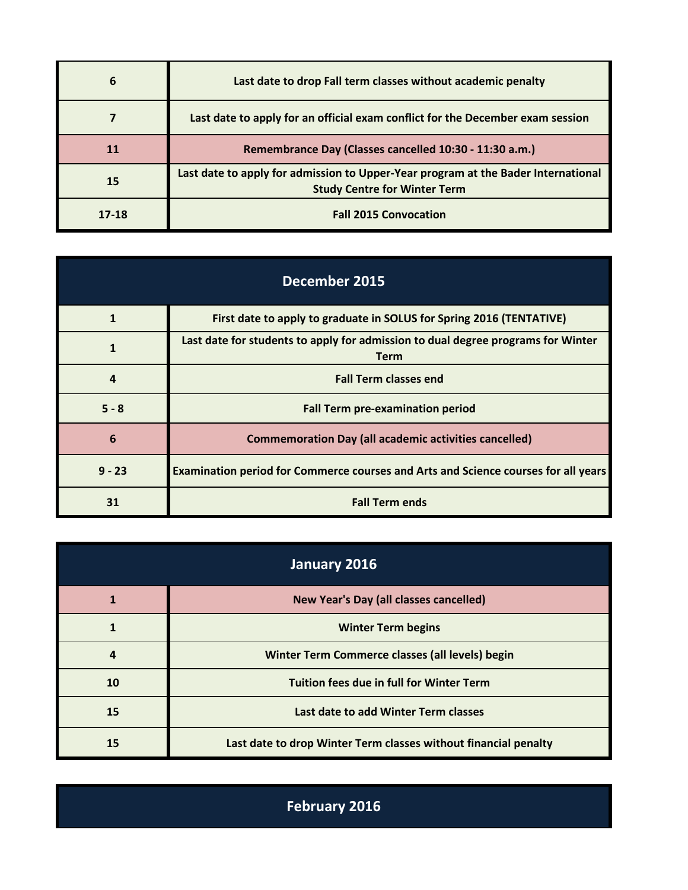| 6     | Last date to drop Fall term classes without academic penalty                                                             |
|-------|--------------------------------------------------------------------------------------------------------------------------|
|       | Last date to apply for an official exam conflict for the December exam session                                           |
| 11    | Remembrance Day (Classes cancelled 10:30 - 11:30 a.m.)                                                                   |
| 15    | Last date to apply for admission to Upper-Year program at the Bader International<br><b>Study Centre for Winter Term</b> |
| 17-18 | <b>Fall 2015 Convocation</b>                                                                                             |

| <b>December 2015</b> |                                                                                                 |
|----------------------|-------------------------------------------------------------------------------------------------|
|                      | First date to apply to graduate in SOLUS for Spring 2016 (TENTATIVE)                            |
| 1                    | Last date for students to apply for admission to dual degree programs for Winter<br><b>Term</b> |
| Δ                    | <b>Fall Term classes end</b>                                                                    |
| $5 - 8$              | <b>Fall Term pre-examination period</b>                                                         |
| 6                    | <b>Commemoration Day (all academic activities cancelled)</b>                                    |
| $9 - 23$             | Examination period for Commerce courses and Arts and Science courses for all years              |
| 31                   | <b>Fall Term ends</b>                                                                           |

| January 2016 |                                                                 |
|--------------|-----------------------------------------------------------------|
|              | New Year's Day (all classes cancelled)                          |
|              | <b>Winter Term begins</b>                                       |
| 4            | Winter Term Commerce classes (all levels) begin                 |
| 10           | <b>Tuition fees due in full for Winter Term</b>                 |
| 15           | Last date to add Winter Term classes                            |
| 15           | Last date to drop Winter Term classes without financial penalty |

**February 2016**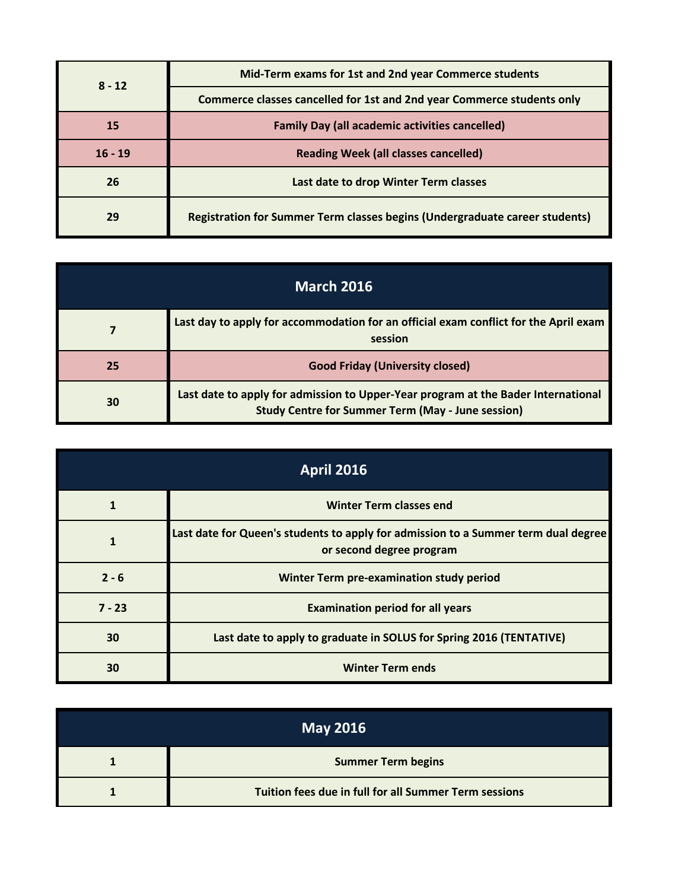| $8 - 12$  | Mid-Term exams for 1st and 2nd year Commerce students                       |
|-----------|-----------------------------------------------------------------------------|
|           | Commerce classes cancelled for 1st and 2nd year Commerce students only      |
| <b>15</b> | <b>Family Day (all academic activities cancelled)</b>                       |
| $16 - 19$ | <b>Reading Week (all classes cancelled)</b>                                 |
| 26        | Last date to drop Winter Term classes                                       |
| 29        | Registration for Summer Term classes begins (Undergraduate career students) |

| <b>March 2016</b> |                                                                                                                                               |
|-------------------|-----------------------------------------------------------------------------------------------------------------------------------------------|
|                   | Last day to apply for accommodation for an official exam conflict for the April exam<br>session                                               |
| 25                | <b>Good Friday (University closed)</b>                                                                                                        |
| 30                | Last date to apply for admission to Upper-Year program at the Bader International<br><b>Study Centre for Summer Term (May - June session)</b> |

| <b>April 2016</b> |                                                                                                                |  |
|-------------------|----------------------------------------------------------------------------------------------------------------|--|
|                   | <b>Winter Term classes end</b>                                                                                 |  |
|                   | Last date for Queen's students to apply for admission to a Summer term dual degree<br>or second degree program |  |
| $2 - 6$           | Winter Term pre-examination study period                                                                       |  |
| $7 - 23$          | <b>Examination period for all years</b>                                                                        |  |
| 30                | Last date to apply to graduate in SOLUS for Spring 2016 (TENTATIVE)                                            |  |
| 30                | <b>Winter Term ends</b>                                                                                        |  |

| <b>May 2016</b> |                                                       |
|-----------------|-------------------------------------------------------|
|                 | <b>Summer Term begins</b>                             |
|                 | Tuition fees due in full for all Summer Term sessions |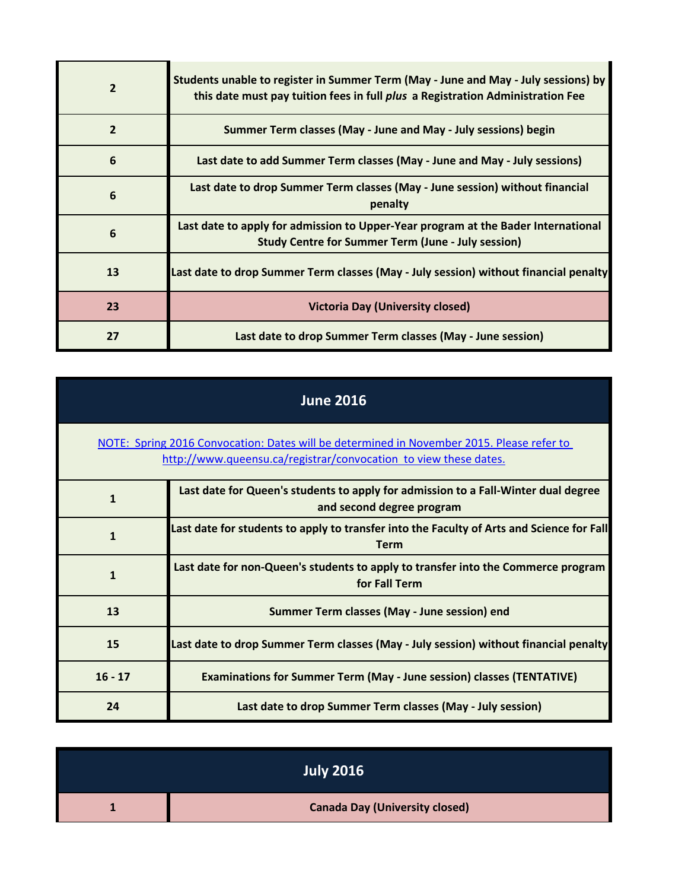| $\overline{2}$ | Students unable to register in Summer Term (May - June and May - July sessions) by<br>this date must pay tuition fees in full plus a Registration Administration Fee |
|----------------|----------------------------------------------------------------------------------------------------------------------------------------------------------------------|
| $\overline{2}$ | Summer Term classes (May - June and May - July sessions) begin                                                                                                       |
| 6              | Last date to add Summer Term classes (May - June and May - July sessions)                                                                                            |
| 6              | Last date to drop Summer Term classes (May - June session) without financial<br>penalty                                                                              |
| 6              | Last date to apply for admission to Upper-Year program at the Bader International<br><b>Study Centre for Summer Term (June - July session)</b>                       |
| 13             | Last date to drop Summer Term classes (May - July session) without financial penalty                                                                                 |
| 23             | <b>Victoria Day (University closed)</b>                                                                                                                              |
| 27             | Last date to drop Summer Term classes (May - June session)                                                                                                           |

| <b>June 2016</b>                                                                                                                                              |                                                                                                                 |  |
|---------------------------------------------------------------------------------------------------------------------------------------------------------------|-----------------------------------------------------------------------------------------------------------------|--|
| NOTE: Spring 2016 Convocation: Dates will be determined in November 2015. Please refer to<br>http://www.queensu.ca/registrar/convocation to view these dates. |                                                                                                                 |  |
| $\mathbf 1$                                                                                                                                                   | Last date for Queen's students to apply for admission to a Fall-Winter dual degree<br>and second degree program |  |
| $\mathbf{1}$                                                                                                                                                  | Last date for students to apply to transfer into the Faculty of Arts and Science for Fall<br><b>Term</b>        |  |
| $\mathbf{1}$                                                                                                                                                  | Last date for non-Queen's students to apply to transfer into the Commerce program<br>for Fall Term              |  |
| 13                                                                                                                                                            | Summer Term classes (May - June session) end                                                                    |  |
| 15                                                                                                                                                            | Last date to drop Summer Term classes (May - July session) without financial penalty                            |  |
| $16 - 17$                                                                                                                                                     | <b>Examinations for Summer Term (May - June session) classes (TENTATIVE)</b>                                    |  |
| 24                                                                                                                                                            | Last date to drop Summer Term classes (May - July session)                                                      |  |

| <b>July 2016</b>                      |
|---------------------------------------|
| <b>Canada Day (University closed)</b> |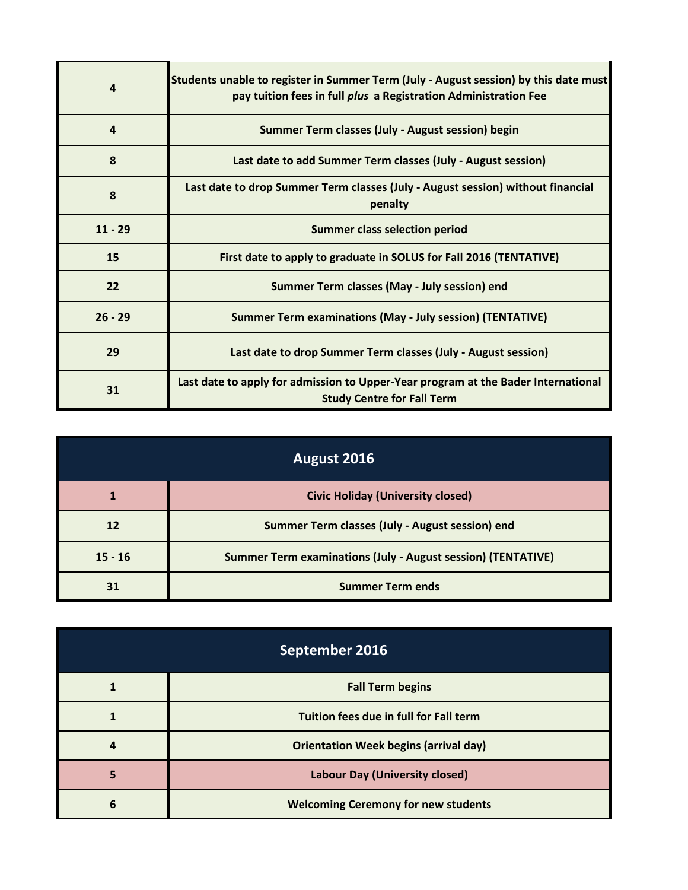| 4         | Students unable to register in Summer Term (July - August session) by this date must<br>pay tuition fees in full plus a Registration Administration Fee |
|-----------|---------------------------------------------------------------------------------------------------------------------------------------------------------|
| $\Delta$  | Summer Term classes (July - August session) begin                                                                                                       |
| 8         | Last date to add Summer Term classes (July - August session)                                                                                            |
| 8         | Last date to drop Summer Term classes (July - August session) without financial<br>penalty                                                              |
| $11 - 29$ | <b>Summer class selection period</b>                                                                                                                    |
| 15        | First date to apply to graduate in SOLUS for Fall 2016 (TENTATIVE)                                                                                      |
| 22        | Summer Term classes (May - July session) end                                                                                                            |
| $26 - 29$ | <b>Summer Term examinations (May - July session) (TENTATIVE)</b>                                                                                        |
| 29        | Last date to drop Summer Term classes (July - August session)                                                                                           |
| 31        | Last date to apply for admission to Upper-Year program at the Bader International<br><b>Study Centre for Fall Term</b>                                  |

| August 2016 |                                                                     |  |
|-------------|---------------------------------------------------------------------|--|
|             | <b>Civic Holiday (University closed)</b>                            |  |
| 12          | Summer Term classes (July - August session) end                     |  |
| $15 - 16$   | <b>Summer Term examinations (July - August session) (TENTATIVE)</b> |  |
| 31          | <b>Summer Term ends</b>                                             |  |

| September 2016 |                                              |  |
|----------------|----------------------------------------------|--|
|                | <b>Fall Term begins</b>                      |  |
|                | Tuition fees due in full for Fall term       |  |
|                | <b>Orientation Week begins (arrival day)</b> |  |
|                | <b>Labour Day (University closed)</b>        |  |
| 6              | <b>Welcoming Ceremony for new students</b>   |  |